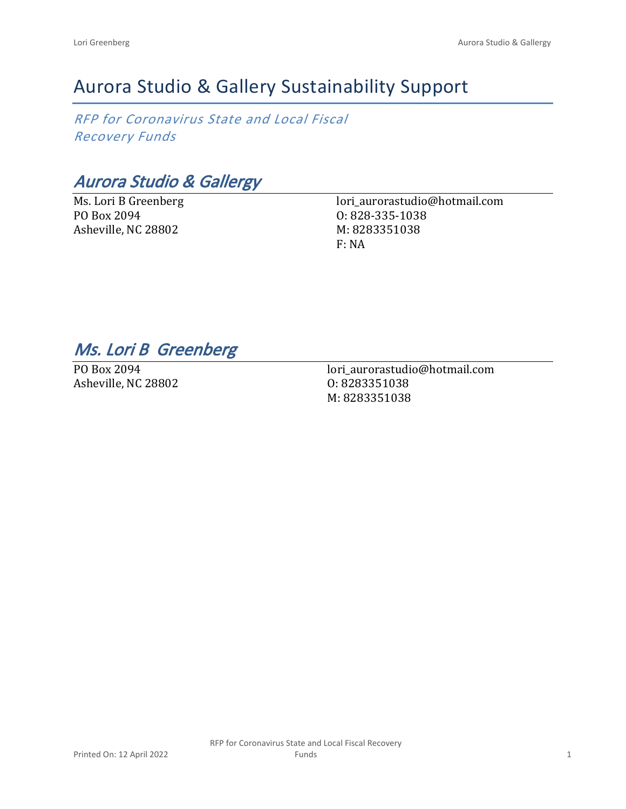# Aurora Studio & Gallery Sustainability Support

*RFP for Coronavirus State and Local Fiscal Recovery Funds*

*Aurora Studio & Gallergy*

Ms. Lori B Greenberg PO Box 2094 Asheville, NC 28802

lori\_aurorastudio@hotmail.com O: 828-335-1038 M: 8283351038 F: NA

## *Ms. Lori B Greenberg*

PO Box 2094 Asheville, NC 28802

lori\_aurorastudio@hotmail.com O: 8283351038 M: 8283351038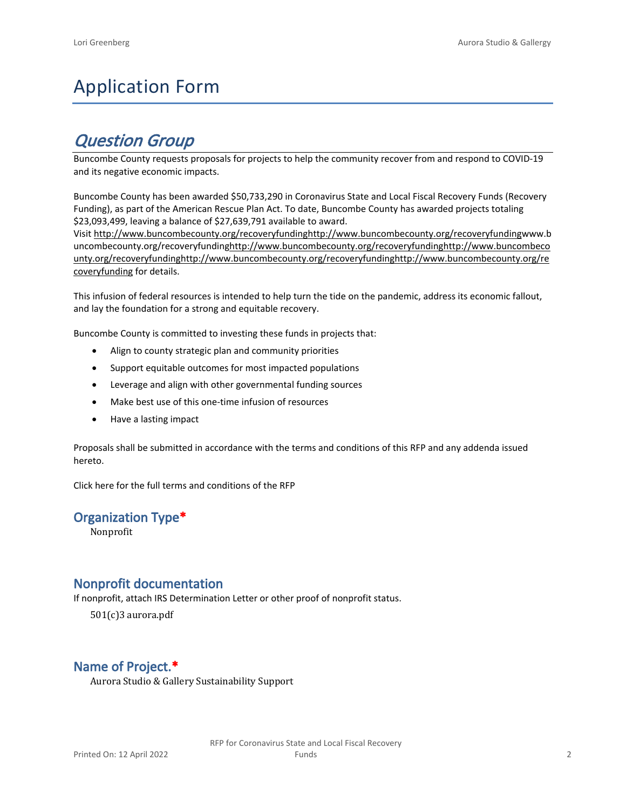# Application Form

## *Question Group*

Buncombe County requests proposals for projects to help the community recover from and respond to COVID-19 and its negative economic impacts.

Buncombe County has been awarded \$50,733,290 in Coronavirus State and Local Fiscal Recovery Funds (Recovery Funding), as part of the American Rescue Plan Act. To date, Buncombe County has awarded projects totaling \$23,093,499, leaving a balance of \$27,639,791 available to award.

Visit [http://www.buncombecounty.org/recoveryfundinghttp://www.buncombecounty.org/recoveryfundingwww.b](http://www.buncombecounty.org/recoveryfunding) [uncombecounty.org/recoveryfundinghttp://www.buncombecounty.org/recoveryfundinghttp://www.buncombeco](http://www.buncombecounty.org/recoveryfunding) [unty.org/recoveryfundinghttp://www.buncombecounty.org/recoveryfundinghttp://www.buncombecounty.org/re](http://www.buncombecounty.org/recoveryfunding) [coveryfunding](http://www.buncombecounty.org/recoveryfunding) for details.

This infusion of federal resources is intended to help turn the tide on the pandemic, address its economic fallout, and lay the foundation for a strong and equitable recovery.

Buncombe County is committed to investing these funds in projects that:

- Align to county strategic plan and community priorities
- Support equitable outcomes for most impacted populations
- Leverage and align with other governmental funding sources
- Make best use of this one-time infusion of resources
- Have a lasting impact

Proposals shall be submitted in accordance with the terms and conditions of this RFP and any addenda issued hereto.

Click [here](https://www.buncombecounty.org/common/purchasing/Buncombe%20Recovery%20Funding%20RFP%202022.pdf) for the full terms and conditions of the RFP

## **Organization Type\***

Nonprofit

## **Nonprofit documentation**

If nonprofit, attach IRS Determination Letter or other proof of nonprofit status.

501(c)3 aurora.pdf

## **Name of Project.\***

Aurora Studio & Gallery Sustainability Support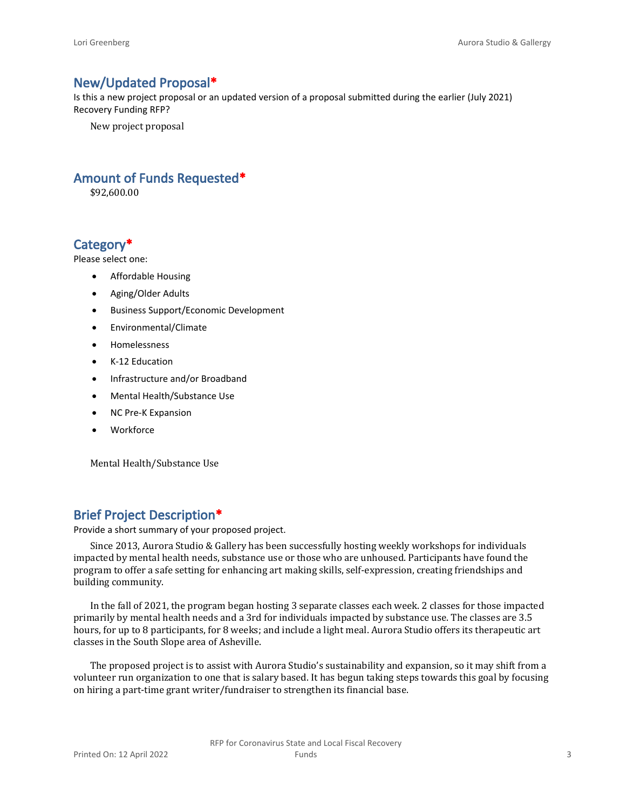#### **New/Updated Proposal\***

Is this a new project proposal or an updated version of a proposal submitted during the earlier (July 2021) Recovery Funding RFP?

New project proposal

### **Amount of Funds Requested\***

\$92,600.00

## **Category\***

Please select one:

- Affordable Housing
- Aging/Older Adults
- Business Support/Economic Development
- Environmental/Climate
- Homelessness
- K-12 Education
- Infrastructure and/or Broadband
- Mental Health/Substance Use
- NC Pre-K Expansion
- Workforce

Mental Health/Substance Use

## **Brief Project Description\***

Provide a short summary of your proposed project.

Since 2013, Aurora Studio & Gallery has been successfully hosting weekly workshops for individuals impacted by mental health needs, substance use or those who are unhoused. Participants have found the program to offer a safe setting for enhancing art making skills, self-expression, creating friendships and building community.

In the fall of 2021, the program began hosting 3 separate classes each week. 2 classes for those impacted primarily by mental health needs and a 3rd for individuals impacted by substance use. The classes are 3.5 hours, for up to 8 participants, for 8 weeks; and include a light meal. Aurora Studio offers its therapeutic art classes in the South Slope area of Asheville.

The proposed project is to assist with Aurora Studio's sustainability and expansion, so it may shift from a volunteer run organization to one that is salary based. It has begun taking steps towards this goal by focusing on hiring a part-time grant writer/fundraiser to strengthen its financial base.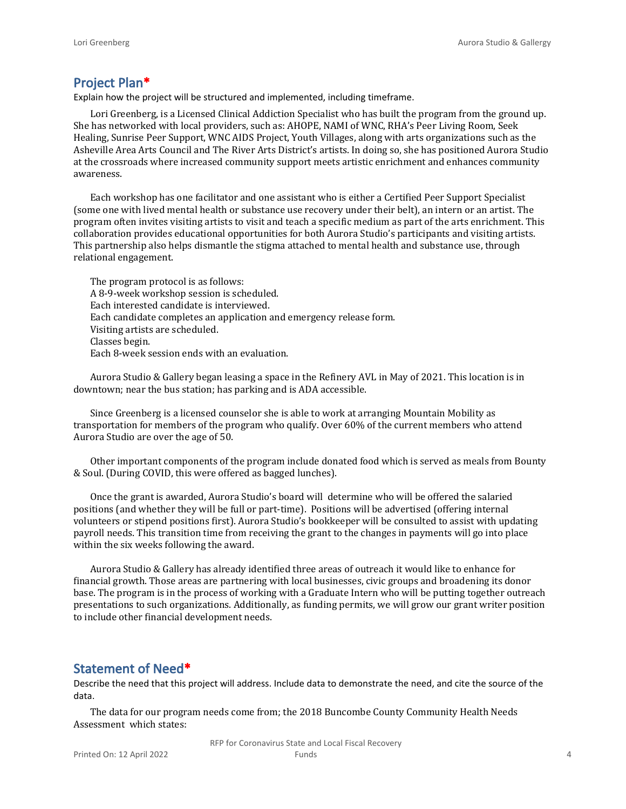#### **Project Plan\***

Explain how the project will be structured and implemented, including timeframe.

Lori Greenberg, is a Licensed Clinical Addiction Specialist who has built the program from the ground up. She has networked with local providers, such as: AHOPE, NAMI of WNC, RHA's Peer Living Room, Seek Healing, Sunrise Peer Support, WNC AIDS Project, Youth Villages, along with arts organizations such as the Asheville Area Arts Council and The River Arts District's artists. In doing so, she has positioned Aurora Studio at the crossroads where increased community support meets artistic enrichment and enhances community awareness.

Each workshop has one facilitator and one assistant who is either a Certified Peer Support Specialist (some one with lived mental health or substance use recovery under their belt), an intern or an artist. The program often invites visiting artists to visit and teach a specific medium as part of the arts enrichment. This collaboration provides educational opportunities for both Aurora Studio's participants and visiting artists. This partnership also helps dismantle the stigma attached to mental health and substance use, through relational engagement.

The program protocol is as follows: A 8-9-week workshop session is scheduled. Each interested candidate is interviewed. Each candidate completes an application and emergency release form. Visiting artists are scheduled. Classes begin. Each 8-week session ends with an evaluation.

Aurora Studio & Gallery began leasing a space in the Refinery AVL in May of 2021. This location is in downtown; near the bus station; has parking and is ADA accessible.

Since Greenberg is a licensed counselor she is able to work at arranging Mountain Mobility as transportation for members of the program who qualify. Over 60% of the current members who attend Aurora Studio are over the age of 50.

Other important components of the program include donated food which is served as meals from Bounty & Soul. (During COVID, this were offered as bagged lunches).

Once the grant is awarded, Aurora Studio's board will determine who will be offered the salaried positions (and whether they will be full or part-time). Positions will be advertised (offering internal volunteers or stipend positions first). Aurora Studio's bookkeeper will be consulted to assist with updating payroll needs. This transition time from receiving the grant to the changes in payments will go into place within the six weeks following the award.

Aurora Studio & Gallery has already identified three areas of outreach it would like to enhance for financial growth. Those areas are partnering with local businesses, civic groups and broadening its donor base. The program is in the process of working with a Graduate Intern who will be putting together outreach presentations to such organizations. Additionally, as funding permits, we will grow our grant writer position to include other financial development needs.

#### **Statement of Need\***

Describe the need that this project will address. Include data to demonstrate the need, and cite the source of the data.

The data for our program needs come from; the 2018 Buncombe County Community Health Needs Assessment which states:

> RFP for Coronavirus State and Local Fiscal Recovery Funds 4 and 4 and 4 and 4 and 4 and 4 and 4 and 4 and 4 and 4 and 4 and 4 and 4 and 4 and 4 and 4 and 4 and 4 and 4 and 4 and 4 and 4 and 4 and 4 and 4 and 4 and 4 and 4 and 4 and 4 and 4 and 4 and 4 and 4 and 4 and 4 and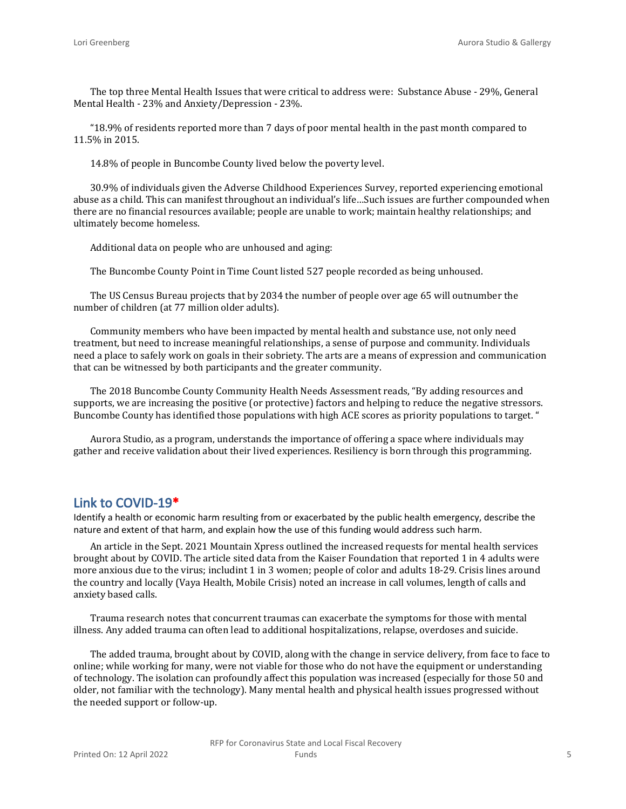The top three Mental Health Issues that were critical to address were: Substance Abuse - 29%, General Mental Health - 23% and Anxiety/Depression - 23%.

"18.9% of residents reported more than 7 days of poor mental health in the past month compared to 11.5% in 2015.

14.8% of people in Buncombe County lived below the poverty level.

30.9% of individuals given the Adverse Childhood Experiences Survey, reported experiencing emotional abuse as a child. This can manifest throughout an individual's life…Such issues are further compounded when there are no financial resources available; people are unable to work; maintain healthy relationships; and ultimately become homeless.

Additional data on people who are unhoused and aging:

The Buncombe County Point in Time Count listed 527 people recorded as being unhoused.

The US Census Bureau projects that by 2034 the number of people over age 65 will outnumber the number of children (at 77 million older adults).

Community members who have been impacted by mental health and substance use, not only need treatment, but need to increase meaningful relationships, a sense of purpose and community. Individuals need a place to safely work on goals in their sobriety. The arts are a means of expression and communication that can be witnessed by both participants and the greater community.

The 2018 Buncombe County Community Health Needs Assessment reads, "By adding resources and supports, we are increasing the positive (or protective) factors and helping to reduce the negative stressors. Buncombe County has identified those populations with high ACE scores as priority populations to target. "

Aurora Studio, as a program, understands the importance of offering a space where individuals may gather and receive validation about their lived experiences. Resiliency is born through this programming.

#### **Link to COVID-19\***

Identify a health or economic harm resulting from or exacerbated by the public health emergency, describe the nature and extent of that harm, and explain how the use of this funding would address such harm.

An article in the Sept. 2021 Mountain Xpress outlined the increased requests for mental health services brought about by COVID. The article sited data from the Kaiser Foundation that reported 1 in 4 adults were more anxious due to the virus; includint 1 in 3 women; people of color and adults 18-29. Crisis lines around the country and locally (Vaya Health, Mobile Crisis) noted an increase in call volumes, length of calls and anxiety based calls.

Trauma research notes that concurrent traumas can exacerbate the symptoms for those with mental illness. Any added trauma can often lead to additional hospitalizations, relapse, overdoses and suicide.

The added trauma, brought about by COVID, along with the change in service delivery, from face to face to online; while working for many, were not viable for those who do not have the equipment or understanding of technology. The isolation can profoundly affect this population was increased (especially for those 50 and older, not familiar with the technology). Many mental health and physical health issues progressed without the needed support or follow-up.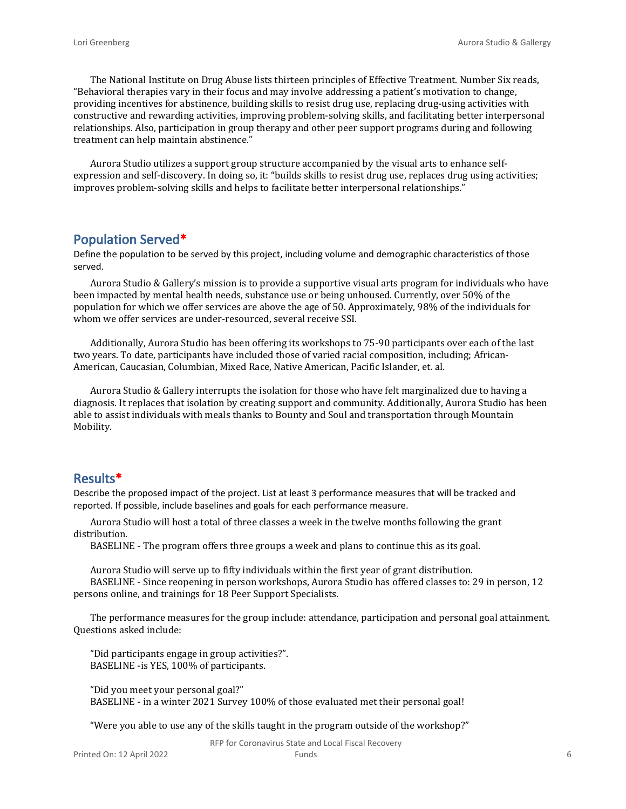The National Institute on Drug Abuse lists thirteen principles of Effective Treatment. Number Six reads, "Behavioral therapies vary in their focus and may involve addressing a patient's motivation to change, providing incentives for abstinence, building skills to resist drug use, replacing drug-using activities with constructive and rewarding activities, improving problem-solving skills, and facilitating better interpersonal relationships. Also, participation in group therapy and other peer support programs during and following treatment can help maintain abstinence."

Aurora Studio utilizes a support group structure accompanied by the visual arts to enhance selfexpression and self-discovery. In doing so, it: "builds skills to resist drug use, replaces drug using activities; improves problem-solving skills and helps to facilitate better interpersonal relationships."

#### **Population Served\***

Define the population to be served by this project, including volume and demographic characteristics of those served.

Aurora Studio & Gallery's mission is to provide a supportive visual arts program for individuals who have been impacted by mental health needs, substance use or being unhoused. Currently, over 50% of the population for which we offer services are above the age of 50. Approximately, 98% of the individuals for whom we offer services are under-resourced, several receive SSI.

Additionally, Aurora Studio has been offering its workshops to 75-90 participants over each of the last two years. To date, participants have included those of varied racial composition, including; African-American, Caucasian, Columbian, Mixed Race, Native American, Pacific Islander, et. al.

Aurora Studio & Gallery interrupts the isolation for those who have felt marginalized due to having a diagnosis. It replaces that isolation by creating support and community. Additionally, Aurora Studio has been able to assist individuals with meals thanks to Bounty and Soul and transportation through Mountain Mobility.

#### **Results\***

Describe the proposed impact of the project. List at least 3 performance measures that will be tracked and reported. If possible, include baselines and goals for each performance measure.

Aurora Studio will host a total of three classes a week in the twelve months following the grant distribution.

BASELINE - The program offers three groups a week and plans to continue this as its goal.

Aurora Studio will serve up to fifty individuals within the first year of grant distribution.

BASELINE - Since reopening in person workshops, Aurora Studio has offered classes to: 29 in person, 12 persons online, and trainings for 18 Peer Support Specialists.

The performance measures for the group include: attendance, participation and personal goal attainment. Questions asked include:

"Did participants engage in group activities?". BASELINE -is YES, 100% of participants.

"Did you meet your personal goal?" BASELINE - in a winter 2021 Survey 100% of those evaluated met their personal goal!

"Were you able to use any of the skills taught in the program outside of the workshop?"

RFP for Coronavirus State and Local Fiscal Recovery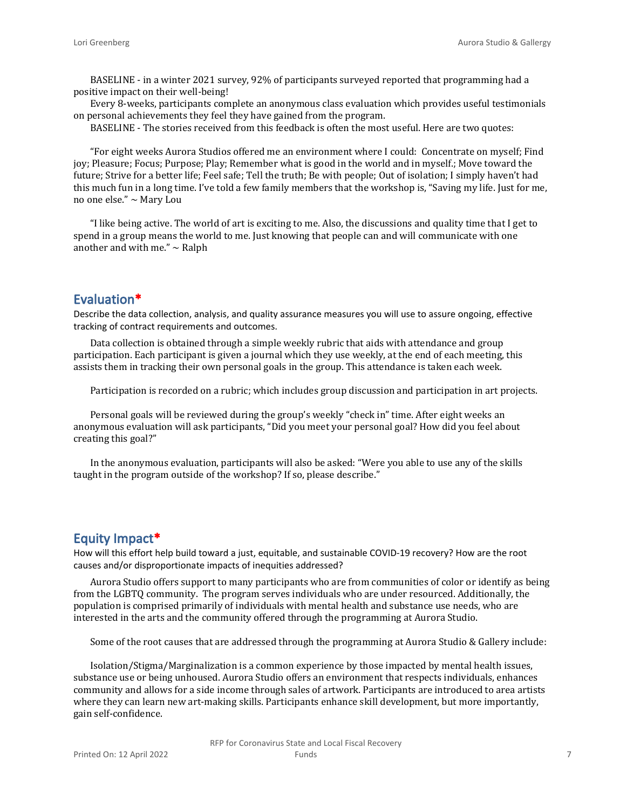BASELINE - in a winter 2021 survey, 92% of participants surveyed reported that programming had a positive impact on their well-being!

Every 8-weeks, participants complete an anonymous class evaluation which provides useful testimonials on personal achievements they feel they have gained from the program.

BASELINE - The stories received from this feedback is often the most useful. Here are two quotes:

"For eight weeks Aurora Studios offered me an environment where I could: Concentrate on myself; Find joy; Pleasure; Focus; Purpose; Play; Remember what is good in the world and in myself.; Move toward the future; Strive for a better life; Feel safe; Tell the truth; Be with people; Out of isolation; I simply haven't had this much fun in a long time. I've told a few family members that the workshop is, "Saving my life. Just for me, no one else." ~ Mary Lou

"I like being active. The world of art is exciting to me. Also, the discussions and quality time that I get to spend in a group means the world to me. Just knowing that people can and will communicate with one another and with me."  $\sim$  Ralph

## **Evaluation\***

Describe the data collection, analysis, and quality assurance measures you will use to assure ongoing, effective tracking of contract requirements and outcomes.

Data collection is obtained through a simple weekly rubric that aids with attendance and group participation. Each participant is given a journal which they use weekly, at the end of each meeting, this assists them in tracking their own personal goals in the group. This attendance is taken each week.

Participation is recorded on a rubric; which includes group discussion and participation in art projects.

Personal goals will be reviewed during the group's weekly "check in" time. After eight weeks an anonymous evaluation will ask participants, "Did you meet your personal goal? How did you feel about creating this goal?"

In the anonymous evaluation, participants will also be asked: "Were you able to use any of the skills taught in the program outside of the workshop? If so, please describe."

#### **Equity Impact\***

How will this effort help build toward a just, equitable, and sustainable COVID-19 recovery? How are the root causes and/or disproportionate impacts of inequities addressed?

Aurora Studio offers support to many participants who are from communities of color or identify as being from the LGBTQ community. The program serves individuals who are under resourced. Additionally, the population is comprised primarily of individuals with mental health and substance use needs, who are interested in the arts and the community offered through the programming at Aurora Studio.

Some of the root causes that are addressed through the programming at Aurora Studio & Gallery include:

Isolation/Stigma/Marginalization is a common experience by those impacted by mental health issues, substance use or being unhoused. Aurora Studio offers an environment that respects individuals, enhances community and allows for a side income through sales of artwork. Participants are introduced to area artists where they can learn new art-making skills. Participants enhance skill development, but more importantly, gain self-confidence.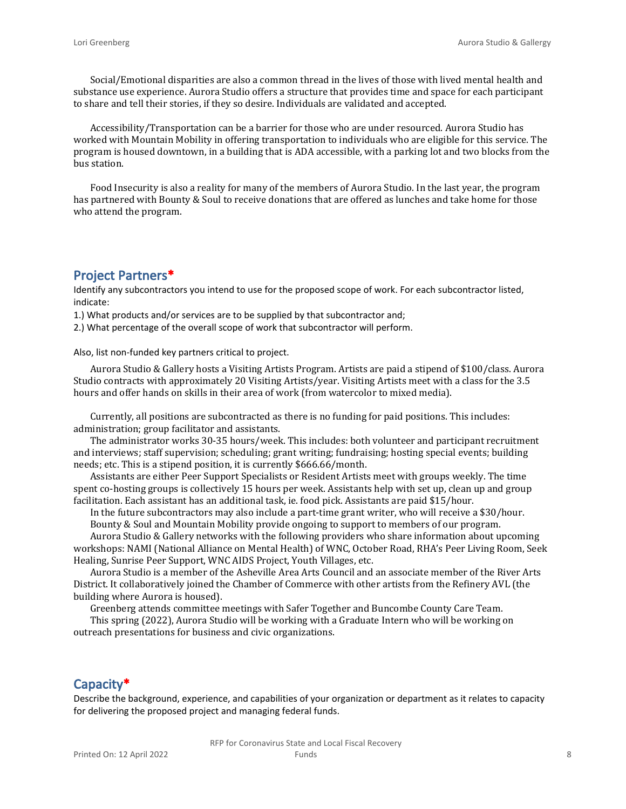Social/Emotional disparities are also a common thread in the lives of those with lived mental health and substance use experience. Aurora Studio offers a structure that provides time and space for each participant to share and tell their stories, if they so desire. Individuals are validated and accepted.

Accessibility/Transportation can be a barrier for those who are under resourced. Aurora Studio has worked with Mountain Mobility in offering transportation to individuals who are eligible for this service. The program is housed downtown, in a building that is ADA accessible, with a parking lot and two blocks from the bus station.

Food Insecurity is also a reality for many of the members of Aurora Studio. In the last year, the program has partnered with Bounty & Soul to receive donations that are offered as lunches and take home for those who attend the program.

### **Project Partners\***

Identify any subcontractors you intend to use for the proposed scope of work. For each subcontractor listed, indicate:

1.) What products and/or services are to be supplied by that subcontractor and;

2.) What percentage of the overall scope of work that subcontractor will perform.

Also, list non-funded key partners critical to project.

Aurora Studio & Gallery hosts a Visiting Artists Program. Artists are paid a stipend of \$100/class. Aurora Studio contracts with approximately 20 Visiting Artists/year. Visiting Artists meet with a class for the 3.5 hours and offer hands on skills in their area of work (from watercolor to mixed media).

Currently, all positions are subcontracted as there is no funding for paid positions. This includes: administration; group facilitator and assistants.

The administrator works 30-35 hours/week. This includes: both volunteer and participant recruitment and interviews; staff supervision; scheduling; grant writing; fundraising; hosting special events; building needs; etc. This is a stipend position, it is currently \$666.66/month.

Assistants are either Peer Support Specialists or Resident Artists meet with groups weekly. The time spent co-hosting groups is collectively 15 hours per week. Assistants help with set up, clean up and group facilitation. Each assistant has an additional task, ie. food pick. Assistants are paid \$15/hour.

In the future subcontractors may also include a part-time grant writer, who will receive a \$30/hour. Bounty & Soul and Mountain Mobility provide ongoing to support to members of our program.

Aurora Studio & Gallery networks with the following providers who share information about upcoming workshops: NAMI (National Alliance on Mental Health) of WNC, October Road, RHA's Peer Living Room, Seek Healing, Sunrise Peer Support, WNC AIDS Project, Youth Villages, etc.

Aurora Studio is a member of the Asheville Area Arts Council and an associate member of the River Arts District. It collaboratively joined the Chamber of Commerce with other artists from the Refinery AVL (the building where Aurora is housed).

Greenberg attends committee meetings with Safer Together and Buncombe County Care Team.

This spring (2022), Aurora Studio will be working with a Graduate Intern who will be working on outreach presentations for business and civic organizations.

## **Capacity\***

Describe the background, experience, and capabilities of your organization or department as it relates to capacity for delivering the proposed project and managing federal funds.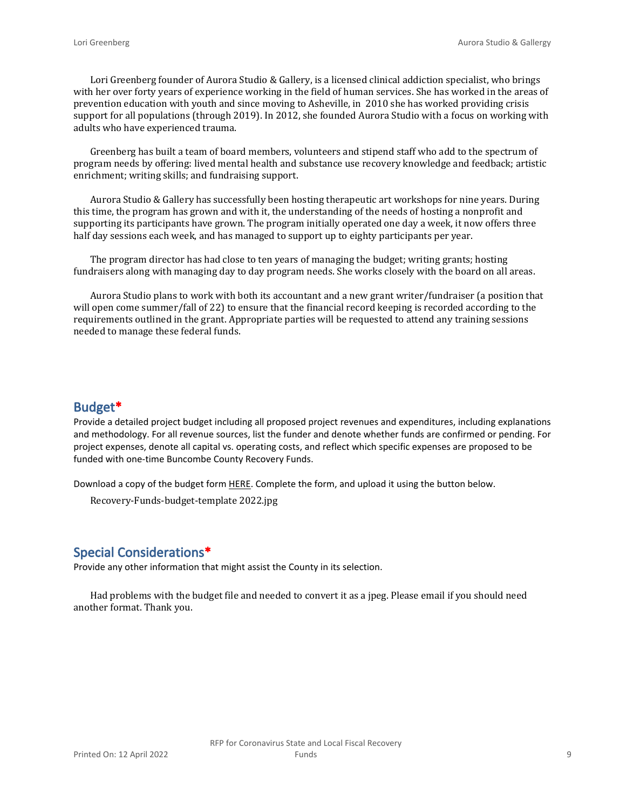Lori Greenberg founder of Aurora Studio & Gallery, is a licensed clinical addiction specialist, who brings with her over forty years of experience working in the field of human services. She has worked in the areas of prevention education with youth and since moving to Asheville, in 2010 she has worked providing crisis support for all populations (through 2019). In 2012, she founded Aurora Studio with a focus on working with adults who have experienced trauma.

Greenberg has built a team of board members, volunteers and stipend staff who add to the spectrum of program needs by offering: lived mental health and substance use recovery knowledge and feedback; artistic enrichment; writing skills; and fundraising support.

Aurora Studio & Gallery has successfully been hosting therapeutic art workshops for nine years. During this time, the program has grown and with it, the understanding of the needs of hosting a nonprofit and supporting its participants have grown. The program initially operated one day a week, it now offers three half day sessions each week, and has managed to support up to eighty participants per year.

The program director has had close to ten years of managing the budget; writing grants; hosting fundraisers along with managing day to day program needs. She works closely with the board on all areas.

Aurora Studio plans to work with both its accountant and a new grant writer/fundraiser (a position that will open come summer/fall of 22) to ensure that the financial record keeping is recorded according to the requirements outlined in the grant. Appropriate parties will be requested to attend any training sessions needed to manage these federal funds.

#### **Budget\***

Provide a detailed project budget including all proposed project revenues and expenditures, including explanations and methodology. For all revenue sources, list the funder and denote whether funds are confirmed or pending. For project expenses, denote all capital vs. operating costs, and reflect which specific expenses are proposed to be funded with one-time Buncombe County Recovery Funds.

Download a copy of the budget form [HERE](https://buncombecounty.org/common/community-investment/grants/early-childhood-education/Recovery-Funds-budget-template.xlsx). Complete the form, and upload it using the button below.

Recovery-Funds-budget-template 2022.jpg

### **Special Considerations\***

Provide any other information that might assist the County in its selection.

Had problems with the budget file and needed to convert it as a jpeg. Please email if you should need another format. Thank you.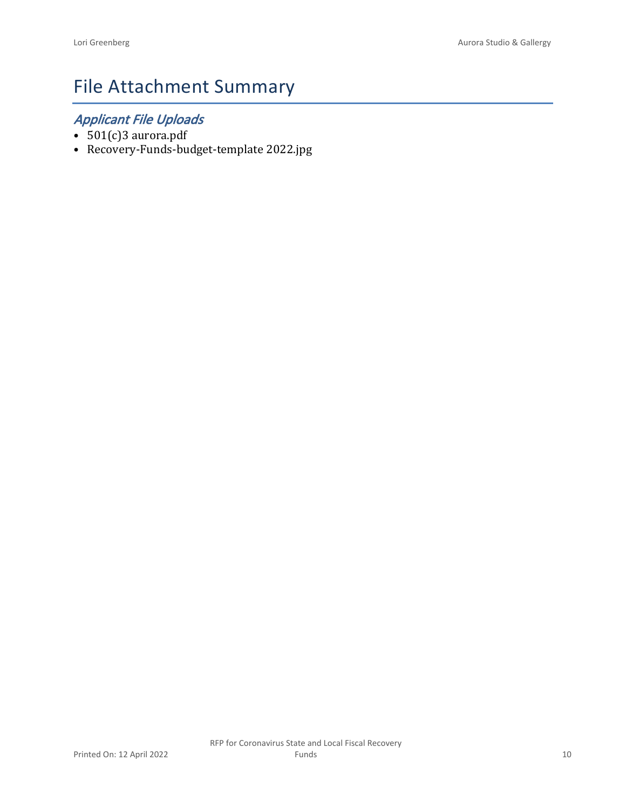# File Attachment Summary

## *Applicant File Uploads*

- 501(c)3 aurora.pdf
- Recovery-Funds-budget-template 2022.jpg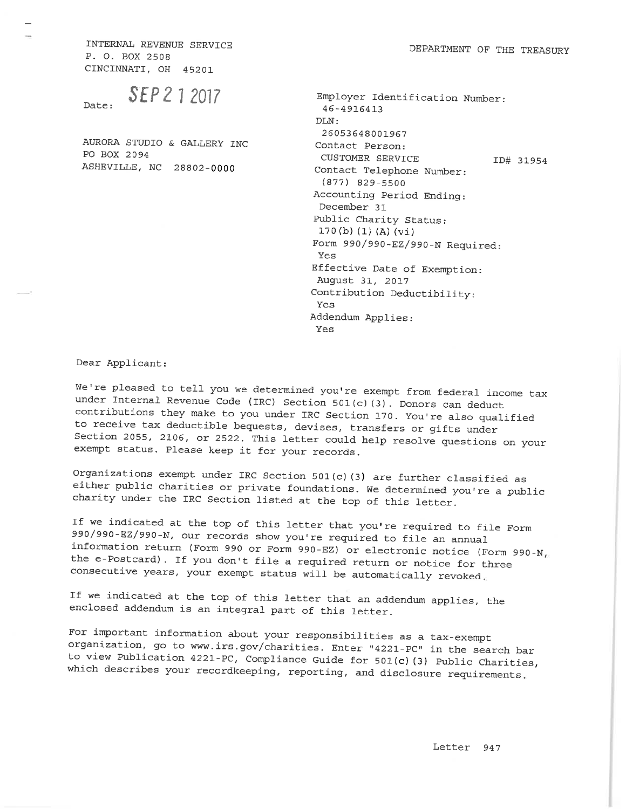INTERNAL REVENUE SERVICE P. O. BOX 2508 CINCINNATI, OH 45201

AURORA STUDIO & GALLERY INC PO BOX 2094 ASHEVILLE, NC 28802-0000

| DEPARTMENT OF THE TREASURY |  |  |  |
|----------------------------|--|--|--|
|----------------------------|--|--|--|

Employer Identification Number: 46-4916413 DLN: 26053648001967 Contact Person: CUSTOMER SERVICE ID# 31954 Contact Telephone Number:  $(877)$  829-5500 Accounting Period Ending: December 31 Public Charity Status:  $170(b) (1) (A) (vi)$ Form 990/990-EZ/990-N Required: Yes Effective Date of Exemption: August 31, 2017 Contribution Deductibility: Yes Addendum Applies: Yes

Dear Applicant:

We're pleased to tell you we determined you're exempt from federal income tax under Internal Revenue Code (IRC) Section 501(c)(3). Donors can deduct contributions they make to you under IRC Section 170. You're also qualified to receive tax deductible bequests, devises, transfers or gifts under Section 2055, 2106, or 2522. This letter could help resolve questions on your exempt status. Please keep it for your records.

Organizations exempt under IRC Section 501(c)(3) are further classified as either public charities or private foundations. We determined you're a public charity under the IRC Section listed at the top of this letter.

If we indicated at the top of this letter that you're required to file Form 990/990-EZ/990-N, our records show you're required to file an annual information return (Form 990 or Form 990-EZ) or electronic notice (Form 990-N, the e-Postcard). If you don't file a required return or notice for three consecutive years, your exempt status will be automatically revoked.

If we indicated at the top of this letter that an addendum applies, the enclosed addendum is an integral part of this letter.

For important information about your responsibilities as a tax-exempt organization, go to www.irs.gov/charities. Enter "4221-PC" in the search bar to view Publication 4221-PC, Compliance Guide for 501(c)(3) Public Charities, which describes your recordkeeping, reporting, and disclosure requirements.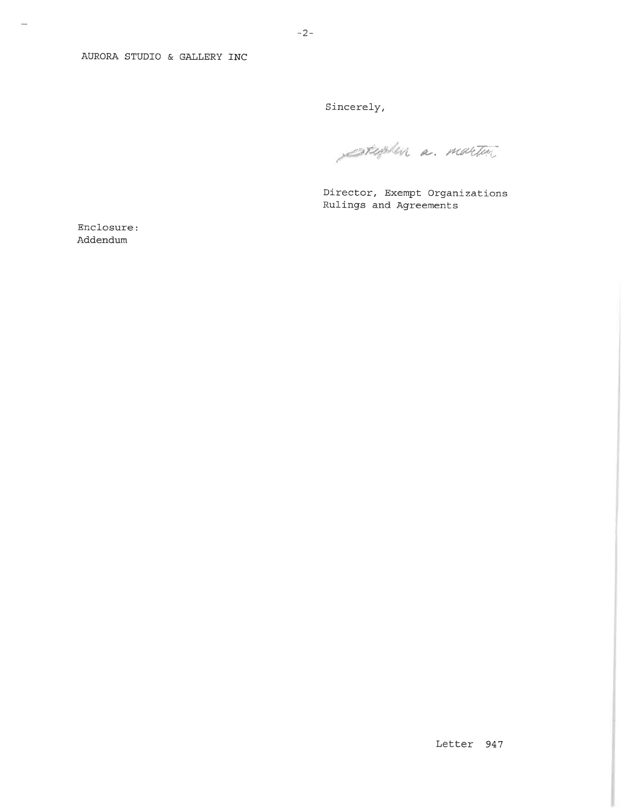AURORA STUDIO & GALLERY INC

Sincerely,

stephen a martin

Director, Exempt Organizations Rulings and Agreements

Enclosure: Addendum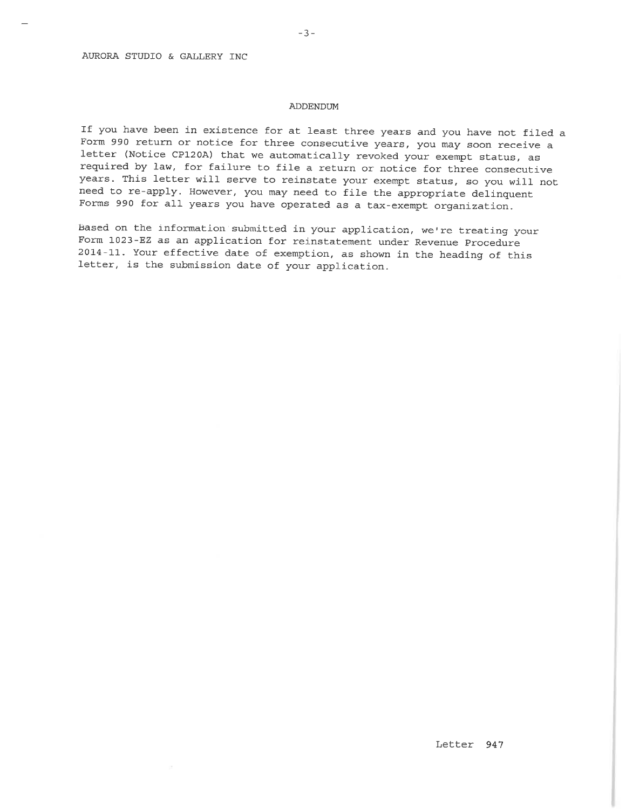#### ADDENDUM

If you have been in existence for at least three years and you have not filed a Form 990 return or notice for three consecutive years, you may soon receive a letter (Notice CP120A) that we automatically revoked your exempt status, as required by law, for failure to file a return or notice for three consecutive years. This letter will serve to reinstate your exempt status, so you will not need to re-apply. However, you may need to file the appropriate delinquent Forms 990 for all years you have operated as a tax-exempt organization.

Based on the information submitted in your application, we're treating your Form 1023-EZ as an application for reinstatement under Revenue Procedure 2014-11. Your effective date of exemption, as shown in the heading of this letter, is the submission date of your application.